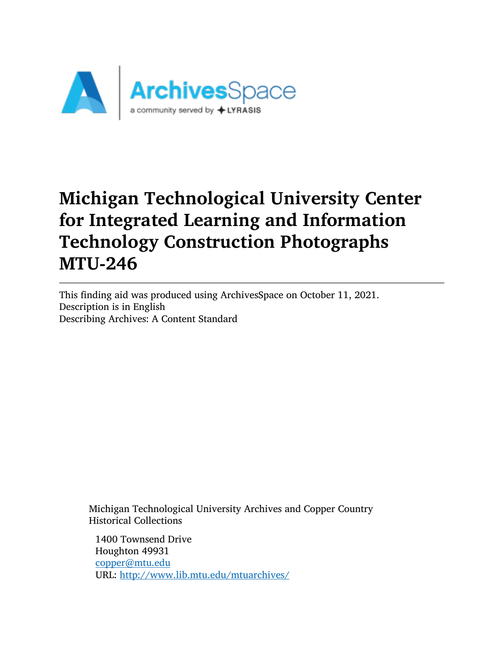

# Michigan Technological University Center for Integrated Learning and Information Technology Construction Photographs MTU-246

This finding aid was produced using ArchivesSpace on October 11, 2021. Description is in English Describing Archives: A Content Standard

Michigan Technological University Archives and Copper Country Historical Collections

1400 Townsend Drive Houghton 49931 [copper@mtu.edu](mailto:copper@mtu.edu) URL: <http://www.lib.mtu.edu/mtuarchives/>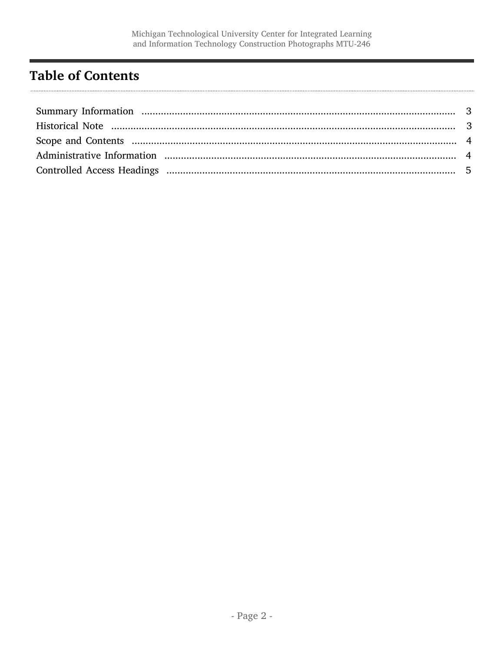# <span id="page-1-0"></span>**Table of Contents**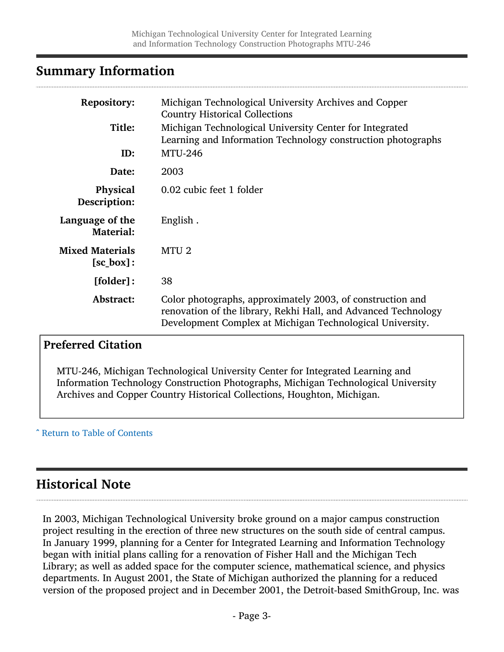#### <span id="page-2-0"></span>Summary Information

| <b>Repository:</b>                       | Michigan Technological University Archives and Copper<br><b>Country Historical Collections</b>                                                                                            |
|------------------------------------------|-------------------------------------------------------------------------------------------------------------------------------------------------------------------------------------------|
| Title:                                   | Michigan Technological University Center for Integrated<br>Learning and Information Technology construction photographs                                                                   |
| ID:                                      | <b>MTU-246</b>                                                                                                                                                                            |
| Date:                                    | 2003                                                                                                                                                                                      |
| Physical<br>Description:                 | 0.02 cubic feet 1 folder                                                                                                                                                                  |
| Language of the<br><b>Material:</b>      | English.                                                                                                                                                                                  |
| <b>Mixed Materials</b><br>$[sc_{box}]$ : | MTU <sub>2</sub>                                                                                                                                                                          |
| [folder]:                                | 38                                                                                                                                                                                        |
| Abstract:                                | Color photographs, approximately 2003, of construction and<br>renovation of the library, Rekhi Hall, and Advanced Technology<br>Development Complex at Michigan Technological University. |

#### Preferred Citation

MTU-246, Michigan Technological University Center for Integrated Learning and Information Technology Construction Photographs, Michigan Technological University Archives and Copper Country Historical Collections, Houghton, Michigan.

^ [Return to Table of Contents](#page-1-0)

## <span id="page-2-1"></span>Historical Note

In 2003, Michigan Technological University broke ground on a major campus construction project resulting in the erection of three new structures on the south side of central campus. In January 1999, planning for a Center for Integrated Learning and Information Technology began with initial plans calling for a renovation of Fisher Hall and the Michigan Tech Library; as well as added space for the computer science, mathematical science, and physics departments. In August 2001, the State of Michigan authorized the planning for a reduced version of the proposed project and in December 2001, the Detroit-based SmithGroup, Inc. was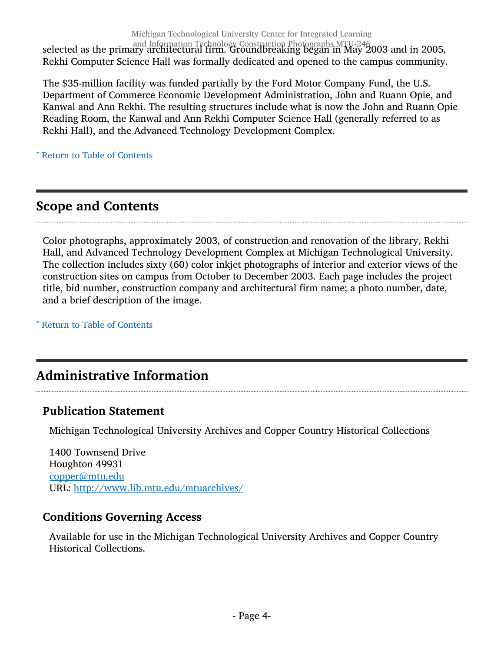Michigan Technological University Center for Integrated Learning

and Information Technology Construction Photographs MTU-246 selected as the primary architectural firm. Groundbreaking began in May 2003 and in 2005, Rekhi Computer Science Hall was formally dedicated and opened to the campus community.

The \$35-million facility was funded partially by the Ford Motor Company Fund, the U.S. Department of Commerce Economic Development Administration, John and Ruann Opie, and Kanwal and Ann Rekhi. The resulting structures include what is now the John and Ruann Opie Reading Room, the Kanwal and Ann Rekhi Computer Science Hall (generally referred to as Rekhi Hall), and the Advanced Technology Development Complex.

^ [Return to Table of Contents](#page-1-0)

#### <span id="page-3-0"></span>Scope and Contents

Color photographs, approximately 2003, of construction and renovation of the library, Rekhi Hall, and Advanced Technology Development Complex at Michigan Technological University. The collection includes sixty (60) color inkjet photographs of interior and exterior views of the construction sites on campus from October to December 2003. Each page includes the project title, bid number, construction company and architectural firm name; a photo number, date, and a brief description of the image.

^ [Return to Table of Contents](#page-1-0)

## <span id="page-3-1"></span>Administrative Information

#### Publication Statement

Michigan Technological University Archives and Copper Country Historical Collections

1400 Townsend Drive Houghton 49931 [copper@mtu.edu](mailto:copper@mtu.edu) URL: <http://www.lib.mtu.edu/mtuarchives/>

#### Conditions Governing Access

Available for use in the Michigan Technological University Archives and Copper Country Historical Collections.